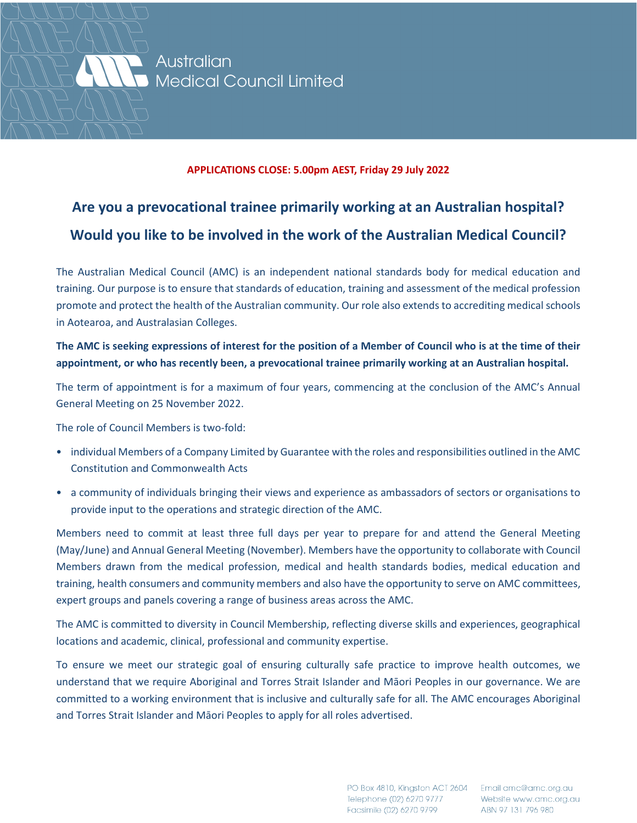

Australian Medical Council Limited

#### **APPLICATIONS CLOSE: 5.00pm AEST, Friday 29 July 2022**

## **Are you a prevocational trainee primarily working at an Australian hospital? Would you like to be involved in the work of the Australian Medical Council?**

The Australian Medical Council (AMC) is an independent national standards body for medical education and training. Our purpose is to ensure that standards of education, training and assessment of the medical profession promote and protect the health of the Australian community. Our role also extends to accrediting medical schools in Aotearoa, and Australasian Colleges.

#### **The AMC is seeking expressions of interest for the position of a Member of Council who is at the time of their appointment, or who has recently been, a prevocational trainee primarily working at an Australian hospital.**

The term of appointment is for a maximum of four years, commencing at the conclusion of the AMC's Annual General Meeting on 25 November 2022.

The role of Council Members is two-fold:

- individual Members of a Company Limited by Guarantee with the roles and responsibilities outlined in the AMC Constitution and Commonwealth Acts
- a community of individuals bringing their views and experience as ambassadors of sectors or organisations to provide input to the operations and strategic direction of the AMC.

Members need to commit at least three full days per year to prepare for and attend the General Meeting (May/June) and Annual General Meeting (November). Members have the opportunity to collaborate with Council Members drawn from the medical profession, medical and health standards bodies, medical education and training, health consumers and community members and also have the opportunity to serve on AMC committees, expert groups and panels covering a range of business areas across the AMC.

The AMC is committed to diversity in Council Membership, reflecting diverse skills and experiences, geographical locations and academic, clinical, professional and community expertise.

To ensure we meet our strategic goal of ensuring culturally safe practice to improve health outcomes, we understand that we require Aboriginal and Torres Strait Islander and Māori Peoples in our governance. We are committed to a working environment that is inclusive and culturally safe for all. The AMC encourages Aboriginal and Torres Strait Islander and Māori Peoples to apply for all roles advertised.

> PO Box 4810, Kingston ACT 2604 Email amc@amc.org.au Telephone (02) 6270 9777 Facsimile (02) 6270 9799

Website www.amc.org.au ABN 97 131 796 980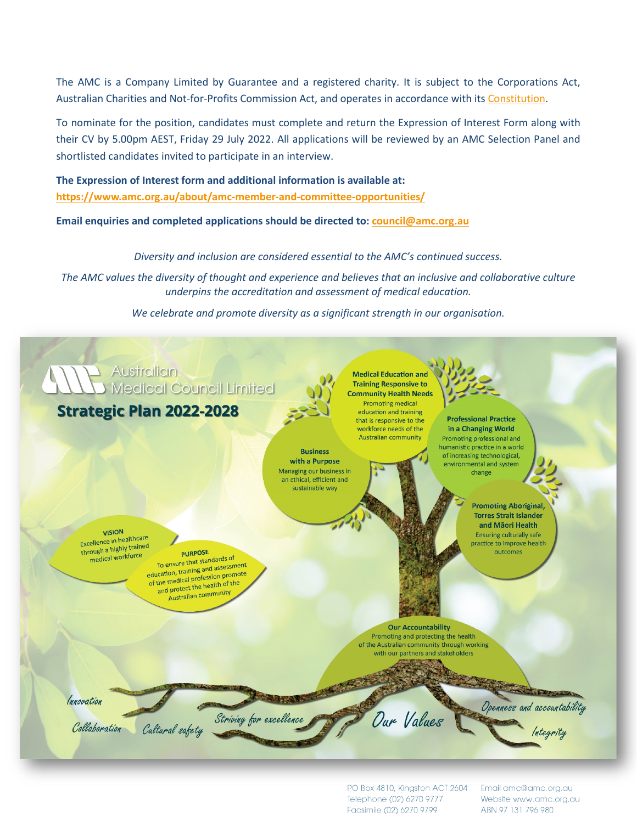The AMC is a Company Limited by Guarantee and a registered charity. It is subject to the Corporations Act, Australian Charities and Not-for-Profits Commission Act, and operates in accordance with its [Constitution.](https://www.amc.org.au/wp-content/uploads/2020/07/AMC-Constitution-1.pdf)

To nominate for the position, candidates must complete and return the Expression of Interest Form along with their CV by 5.00pm AEST, Friday 29 July 2022. All applications will be reviewed by an AMC Selection Panel and shortlisted candidates invited to participate in an interview.

**The Expression of Interest form and additional information is available at: <https://www.amc.org.au/about/amc-member-and-committee-opportunities/>**

**Email enquiries and completed applications should be directed to[: council@amc.org.au](mailto:council@amc.org.au)**

*Diversity and inclusion are considered essential to the AMC's continued success.*

*The AMC values the diversity of thought and experience and believes that an inclusive and collaborative culture underpins the accreditation and assessment of medical education.*

*We celebrate and promote diversity as a significant strength in our organisation.*



PO Box 4810, Kingston ACT 2604 Telephone (02) 6270 9777 Facsimile (02) 6270 9799

Email amc@amc.org.au Website www.amc.org.au ABN 97 131 796 980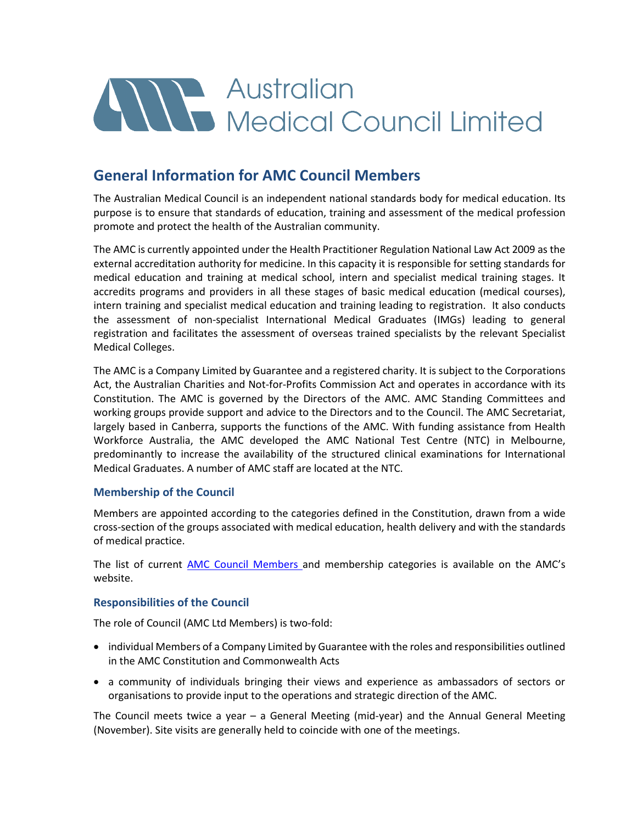# All Australian<br>Medical Council Limited

### **General Information for AMC Council Members**

The Australian Medical Council is an independent national standards body for medical education. Its purpose is to ensure that standards of education, training and assessment of the medical profession promote and protect the health of the Australian community.

The AMC is currently appointed under the Health Practitioner Regulation National Law Act 2009 as the external accreditation authority for medicine. In this capacity it is responsible for setting standards for medical education and training at medical school, intern and specialist medical training stages. It accredits programs and providers in all these stages of basic medical education (medical courses), intern training and specialist medical education and training leading to registration. It also conducts the assessment of non-specialist International Medical Graduates (IMGs) leading to general registration and facilitates the assessment of overseas trained specialists by the relevant Specialist Medical Colleges.

The AMC is a Company Limited by Guarantee and a registered charity. It is subject to the Corporations Act, the Australian Charities and Not-for-Profits Commission Act and operates in accordance with its Constitution. The AMC is governed by the Directors of the AMC. AMC Standing Committees and working groups provide support and advice to the Directors and to the Council. The AMC Secretariat, largely based in Canberra, supports the functions of the AMC. With funding assistance from Health Workforce Australia, the AMC developed the AMC National Test Centre (NTC) in Melbourne, predominantly to increase the availability of the structured clinical examinations for International Medical Graduates. A number of AMC staff are located at the NTC.

#### **Membership of the Council**

Members are appointed according to the categories defined in the Constitution, drawn from a wide cross-section of the groups associated with medical education, health delivery and with the standards of medical practice.

The list of current [AMC Council Members a](https://www.amc.org.au/about/about-2/amc-council-members/)nd membership categories is available on the AMC's website.

#### **Responsibilities of the Council**

The role of Council (AMC Ltd Members) is two-fold:

- individual Members of a Company Limited by Guarantee with the roles and responsibilities outlined in the AMC Constitution and Commonwealth Acts
- a community of individuals bringing their views and experience as ambassadors of sectors or organisations to provide input to the operations and strategic direction of the AMC.

The Council meets twice a year – a General Meeting (mid-year) and the Annual General Meeting (November). Site visits are generally held to coincide with one of the meetings.